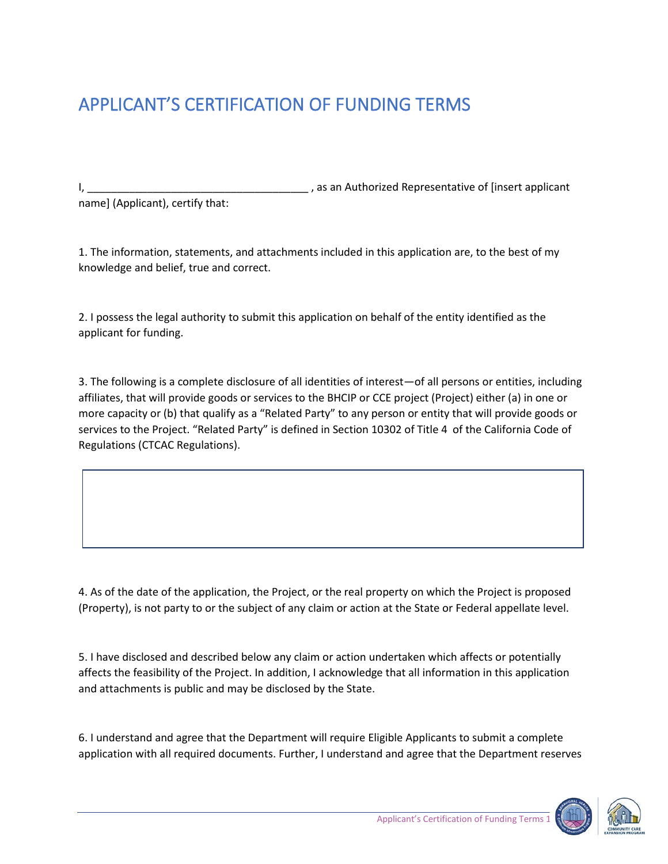## APPLICANT'S CERTIFICATION OF FUNDING TERMS

I, **I** as an Authorized Representative of [insert applicant name] (Applicant), certify that:

1. The information, statements, and attachments included in this application are, to the best of my knowledge and belief, true and correct.

2. I possess the legal authority to submit this application on behalf of the entity identified as the applicant for funding.

3. The following is a complete disclosure of all identities of interest—of all persons or entities, including affiliates, that will provide goods or services to the BHCIP or CCE project (Project) either (a) in one or more capacity or (b) that qualify as a "Related Party" to any person or entity that will provide goods or services to the Project. "Related Party" is defined in Section 10302 of Title 4 of the California Code of Regulations (CTCAC Regulations).

4. As of the date of the application, the Project, or the real property on which the Project is proposed (Property), is not party to or the subject of any claim or action at the State or Federal appellate level.

5. I have disclosed and described below any claim or action undertaken which affects or potentially affects the feasibility of the Project. In addition, I acknowledge that all information in this application and attachments is public and may be disclosed by the State.

6. I understand and agree that the Department will require Eligible Applicants to submit a complete application with all required documents. Further, I understand and agree that the Department reserves



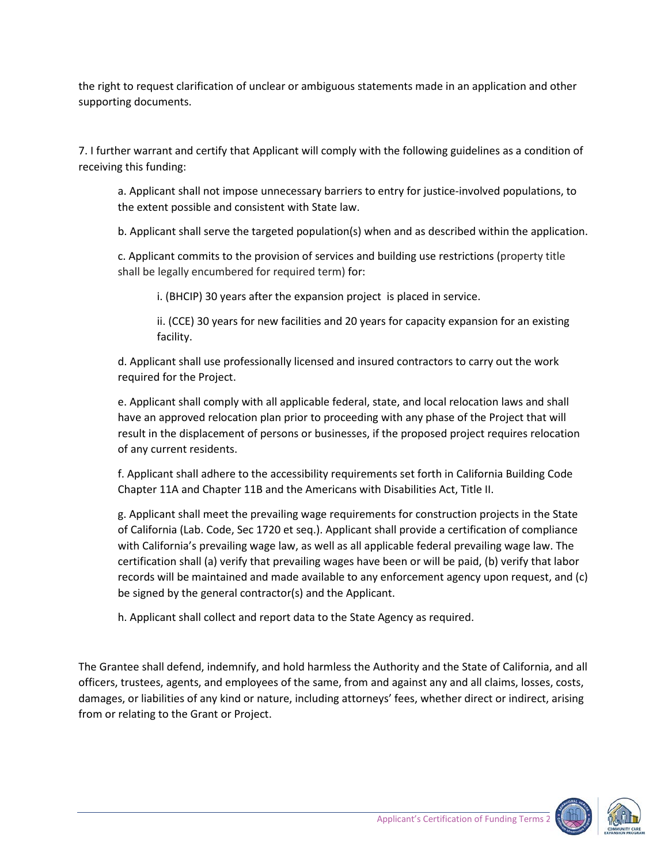the right to request clarification of unclear or ambiguous statements made in an application and other supporting documents.

7. I further warrant and certify that Applicant will comply with the following guidelines as a condition of receiving this funding:

a. Applicant shall not impose unnecessary barriers to entry for justice-involved populations, to the extent possible and consistent with State law.

b. Applicant shall serve the targeted population(s) when and as described within the application.

c. Applicant commits to the provision of services and building use restrictions (property title shall be legally encumbered for required term) for:

i. (BHCIP) 30 years after the expansion project is placed in service.

ii. (CCE) 30 years for new facilities and 20 years for capacity expansion for an existing facility.

d. Applicant shall use professionally licensed and insured contractors to carry out the work required for the Project.

e. Applicant shall comply with all applicable federal, state, and local relocation laws and shall have an approved relocation plan prior to proceeding with any phase of the Project that will result in the displacement of persons or businesses, if the proposed project requires relocation of any current residents.

f. Applicant shall adhere to the accessibility requirements set forth in California Building Code Chapter 11A and Chapter 11B and the Americans with Disabilities Act, Title II.

g. Applicant shall meet the prevailing wage requirements for construction projects in the State of California (Lab. Code, Sec 1720 et seq.). Applicant shall provide a certification of compliance with California's prevailing wage law, as well as all applicable federal prevailing wage law. The certification shall (a) verify that prevailing wages have been or will be paid, (b) verify that labor records will be maintained and made available to any enforcement agency upon request, and (c) be signed by the general contractor(s) and the Applicant.

h. Applicant shall collect and report data to the State Agency as required.

The Grantee shall defend, indemnify, and hold harmless the Authority and the State of California, and all officers, trustees, agents, and employees of the same, from and against any and all claims, losses, costs, damages, or liabilities of any kind or nature, including attorneys' fees, whether direct or indirect, arising from or relating to the Grant or Project.